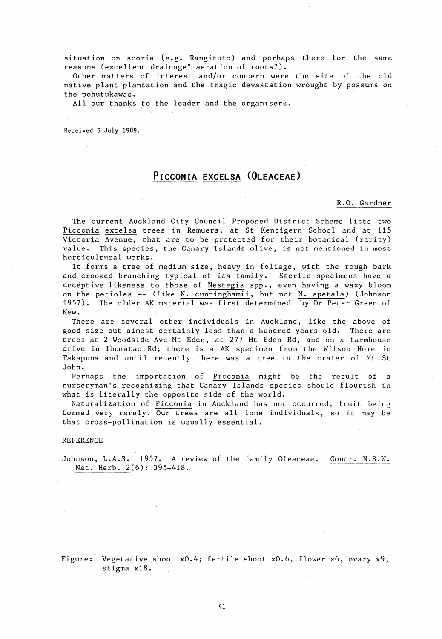situation on scoria (e.g. Rangitoto) and perhaps there for the same reasons (excellent drainage? aeration of roots?).

Other matters of interest and/or concern were the site of the old native plant plantation and the tragic devastation wrought by possums on the pohutukawas.

All our thanks to the leader and the organisers.

Received 5 July 1989.

## **PICCONIA EXCELSA (OLEACEAE)**

## R.O. Gardner

The current Auckland City Council Proposed District Scheme lists two Picconia excelsa trees in Remuera, at St Kentigern School and at 115 Victoria Avenue, that are to be protected for their botanical (rarity) value. This species, the Canary Islands olive, is not mentioned in most horticultural works.

It forms a tree of medium size, heavy in foliage, with the rough bark and crooked branching typical of its family. Sterile specimens have a deceptive likeness to those of Nestegis spp., even having a waxy bloom on the petioles  $--$  (like N. cunninghamii, but not N. apetala) (Johnson 1957). The older AK material was first determined by Dr Peter Green of Kew.

There are several other individuals in Auckland, like the above of good size but almost certainly less than a hundred years old. There are trees at 2 Woodside Ave Mt Eden, at 277 Mt Eden Rd, and on a farmhouse drive in Ihumatao Rd; there is a AK specimen from the Wilson Home in Takapuna and until recently there was a tree in the crater of Mt St John.

Perhaps the importation of Picconia might be the result of a nurseryman's recognizing that Canary Islands species should flourish in what is literally the opposite side of the world.

Naturalization of Picconia in Auckland has not occurred, fruit being formed very rarely. Our trees are all lone individuals, so it may be that cross-pollination is usually essential.

## REFERENCE

Johnson, L.A.S. 1957. A review of the family Oleaceae. Contr. N.S.W. Nat. Herb. 2(6): 395-418.

Figure: Vegetative shoot  $x0.4$ ; fertile shoot  $x0.6$ , flower  $x6$ , ovary  $x9$ , stigma xl8.